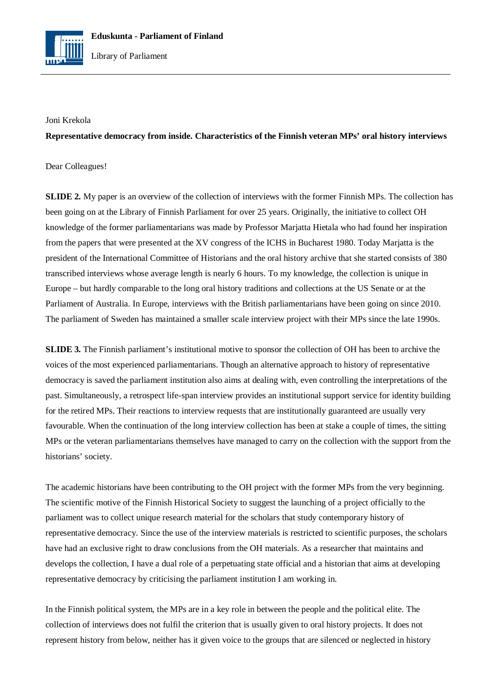

## Joni Krekola

**Representative democracy from inside. Characteristics of the Finnish veteran MPs' oral history interviews**

## Dear Colleagues!

**SLIDE 2.** My paper is an overview of the collection of interviews with the former Finnish MPs. The collection has been going on at the Library of Finnish Parliament for over 25 years. Originally, the initiative to collect OH knowledge of the former parliamentarians was made by Professor Marjatta Hietala who had found her inspiration from the papers that were presented at the XV congress of the ICHS in Bucharest 1980. Today Marjatta is the president of the International Committee of Historians and the oral history archive that she started consists of 380 transcribed interviews whose average length is nearly 6 hours. To my knowledge, the collection is unique in Europe – but hardly comparable to the long oral history traditions and collections at the US Senate or at the Parliament of Australia. In Europe, interviews with the British parliamentarians have been going on since 2010. The parliament of Sweden has maintained a smaller scale interview project with their MPs since the late 1990s.

**SLIDE 3.** The Finnish parliament's institutional motive to sponsor the collection of OH has been to archive the voices of the most experienced parliamentarians. Though an alternative approach to history of representative democracy is saved the parliament institution also aims at dealing with, even controlling the interpretations of the past. Simultaneously, a retrospect life-span interview provides an institutional support service for identity building for the retired MPs. Their reactions to interview requests that are institutionally guaranteed are usually very favourable. When the continuation of the long interview collection has been at stake a couple of times, the sitting MPs or the veteran parliamentarians themselves have managed to carry on the collection with the support from the historians' society.

The academic historians have been contributing to the OH project with the former MPs from the very beginning. The scientific motive of the Finnish Historical Society to suggest the launching of a project officially to the parliament was to collect unique research material for the scholars that study contemporary history of representative democracy. Since the use of the interview materials is restricted to scientific purposes, the scholars have had an exclusive right to draw conclusions from the OH materials. As a researcher that maintains and develops the collection, I have a dual role of a perpetuating state official and a historian that aims at developing representative democracy by criticising the parliament institution I am working in.

In the Finnish political system, the MPs are in a key role in between the people and the political elite. The collection of interviews does not fulfil the criterion that is usually given to oral history projects. It does not represent history from below, neither has it given voice to the groups that are silenced or neglected in history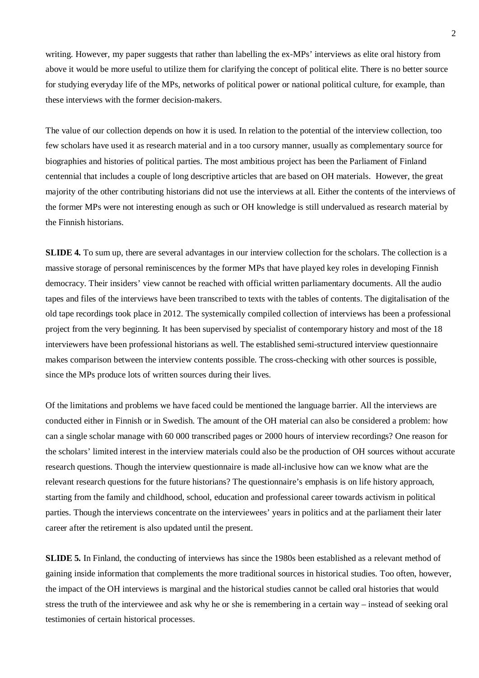writing. However, my paper suggests that rather than labelling the ex-MPs' interviews as elite oral history from above it would be more useful to utilize them for clarifying the concept of political elite. There is no better source for studying everyday life of the MPs, networks of political power or national political culture, for example, than these interviews with the former decision-makers.

The value of our collection depends on how it is used. In relation to the potential of the interview collection, too few scholars have used it as research material and in a too cursory manner, usually as complementary source for biographies and histories of political parties. The most ambitious project has been the Parliament of Finland centennial that includes a couple of long descriptive articles that are based on OH materials. However, the great majority of the other contributing historians did not use the interviews at all. Either the contents of the interviews of the former MPs were not interesting enough as such or OH knowledge is still undervalued as research material by the Finnish historians.

**SLIDE 4.** To sum up, there are several advantages in our interview collection for the scholars. The collection is a massive storage of personal reminiscences by the former MPs that have played key roles in developing Finnish democracy. Their insiders' view cannot be reached with official written parliamentary documents. All the audio tapes and files of the interviews have been transcribed to texts with the tables of contents. The digitalisation of the old tape recordings took place in 2012. The systemically compiled collection of interviews has been a professional project from the very beginning. It has been supervised by specialist of contemporary history and most of the 18 interviewers have been professional historians as well. The established semi-structured interview questionnaire makes comparison between the interview contents possible. The cross-checking with other sources is possible, since the MPs produce lots of written sources during their lives.

Of the limitations and problems we have faced could be mentioned the language barrier. All the interviews are conducted either in Finnish or in Swedish. The amount of the OH material can also be considered a problem: how can a single scholar manage with 60 000 transcribed pages or 2000 hours of interview recordings? One reason for the scholars' limited interest in the interview materials could also be the production of OH sources without accurate research questions. Though the interview questionnaire is made all-inclusive how can we know what are the relevant research questions for the future historians? The questionnaire's emphasis is on life history approach, starting from the family and childhood, school, education and professional career towards activism in political parties. Though the interviews concentrate on the interviewees' years in politics and at the parliament their later career after the retirement is also updated until the present.

**SLIDE 5.** In Finland, the conducting of interviews has since the 1980s been established as a relevant method of gaining inside information that complements the more traditional sources in historical studies. Too often, however, the impact of the OH interviews is marginal and the historical studies cannot be called oral histories that would stress the truth of the interviewee and ask why he or she is remembering in a certain way – instead of seeking oral testimonies of certain historical processes.